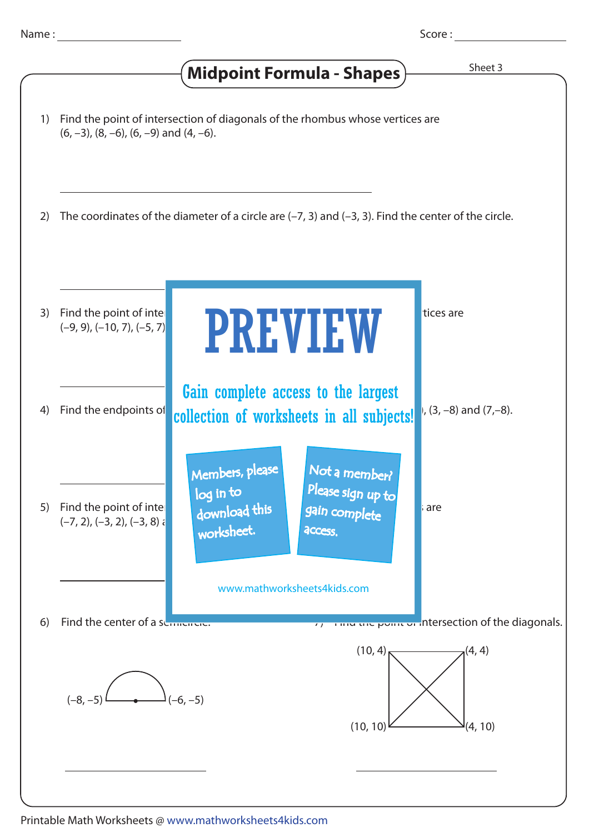